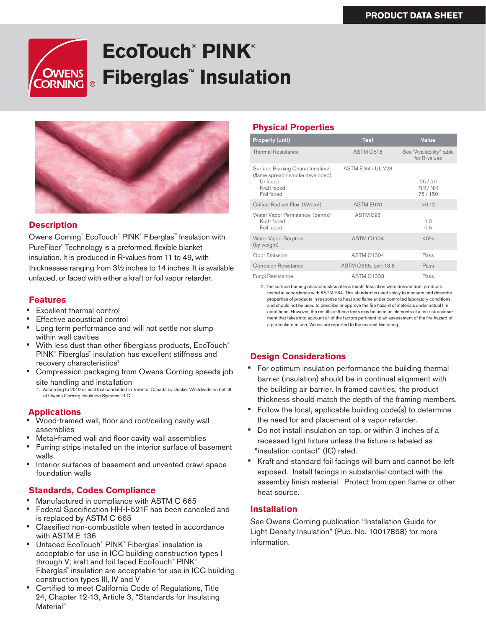# **EcoTouch® PINK® OWENS Fiberglas™ Insulation DRNING**



### **Description**

Owens Corning® EcoTouch® PINK® Fiberglas™ Insulation with PureFiber® Technology is a preformed, flexible blanket insulation. It is produced in R-values from 11 to 49, with thicknesses ranging from 3½ inches to 14 inches. It is available unfaced, or faced with either a kraft or foil vapor retarder.

### **Features**

- **Excellent thermal control**
- **Effective acoustical control**
- Long term performance and will not settle nor slump within wall cavities
- With less dust than other fiberglass products, EcoTouch® PINK® Fiberglas™ insulation has excellent stiffness and recovery characteristics<sup>1</sup>
- Compression packaging from Owens Corning speeds job site handling and installation

1. According to 2010 clinical trial conducted in Toronto, Canada by Ducker Worldwide on behalf of Owens Corning Insulation Systems, LLC.

# **Applications**

- Wood-framed wall, floor and roof/ceiling cavity wall assemblies
- Metal-framed wall and floor cavity wall assemblies
- Furring strips installed on the interior surface of basement walls
- Interior surfaces of basement and unvented crawl space foundation walls

## **Standards, Codes Compliance**

- Manufactured in compliance with ASTM C 665
- Federal Specification HH-I-521F has been canceled and is replaced by ASTM C 665
- Classified non-combustible when tested in accordance with ASTM E 136
- Unfaced EcoTouch® PINK® Fiberglas™ insulation is acceptable for use in ICC building construction types I through V; kraft and foil faced EcoTouch® PINK® Fiberglas™ insulation are acceptable for use in ICC building construction types III, IV and V
- Certified to meet California Code of Regulations, Title 24, Chapter 12-13, Article 3, "Standards for Insulating Material"

# **Physical Properties**

| <b>Property (unit)</b>                                                                                                   | <b>Test</b>          | Value                                    |
|--------------------------------------------------------------------------------------------------------------------------|----------------------|------------------------------------------|
| <b>Thermal Resistance</b>                                                                                                | ASTM C518            | See "Availability" table<br>for R-values |
| Surface Burning Characteristics <sup>2</sup><br>(flame spread / smoke developed)<br>Unfaced<br>Kraft faced<br>Foil faced | ASTM E 84 / UL 723   | 25/50<br>NR/NR<br>75/150                 |
| Critical Radiant Flux (W/cm <sup>2</sup> )                                                                               | ASTM E970            | >0.12                                    |
| Water Vapor Permeance (perms)<br>Kraft faced<br>Foil faced                                                               | ASTM E96             | 1.0<br>0.5                               |
| <b>Water Vapor Sorption</b><br>(by weight)                                                                               | ASTM C1104           | $< 5\%$                                  |
| Odor Emission                                                                                                            | <b>ASTM C1304</b>    | Pass                                     |
| Corrosion Resistance                                                                                                     | ASTM C665, part 13.8 | Pass                                     |
| Fungi Resistance                                                                                                         | <b>ASTM C1338</b>    | Pass                                     |

2. The surface burning characteristics of EcoTouch® Insulation were derived from products tested in accordance with ASTM E84. This standard is used solely to measure and describe properties of products in response to heat and flame under controlled laboratory conditions, and should not be used to describe or approve the fire hazard of materials under actual fire conditions. However, the results of these tests may be used as elements of a fire risk assessment that takes into account all of the factors pertinent to an assessment of the fire hazard of a particular end use. Values are reported to the nearest five rating.

# **Design Considerations**

- For optimum insulation performance the building thermal barrier (insulation) should be in continual alignment with the building air barrier. In framed cavities, the product thickness should match the depth of the framing members.
- Follow the local, applicable building code(s) to determine the need for and placement of a vapor retarder.
- Do not install insulation on top, or within 3 inches of a recessed light fixture unless the fixture is labeled as "insulation contact" (IC) rated.
- Kraft and standard foil facings will burn and cannot be left exposed. Install facings in substantial contact with the assembly finish material. Protect from open flame or other heat source.

## **Installation**

See Owens Corning publication "Installation Guide for Light Density Insulation" (Pub. No. 10017858) for more information.